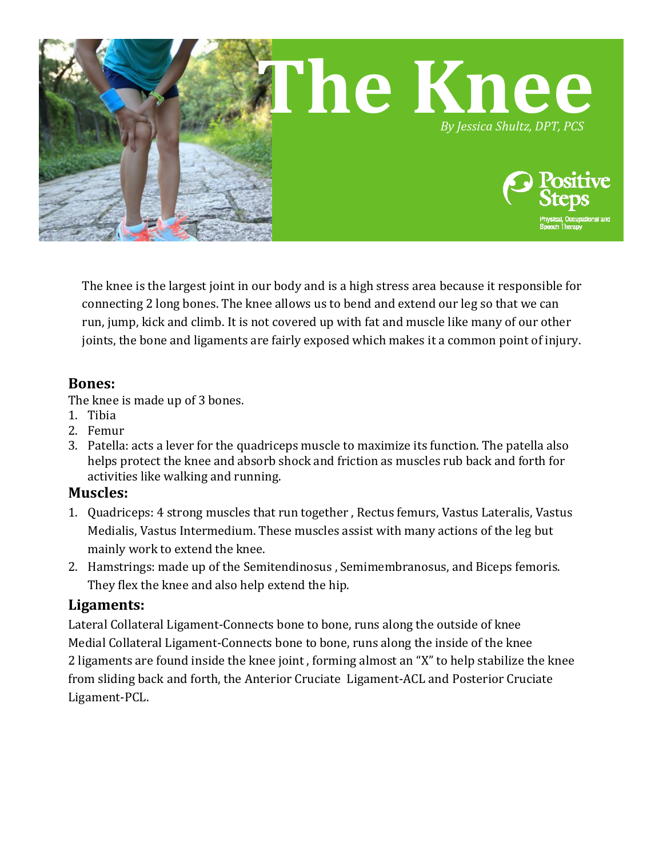

The knee is the largest joint in our body and is a high stress area because it responsible for connecting 2 long bones. The knee allows us to bend and extend our leg so that we can run, jump, kick and climb. It is not covered up with fat and muscle like many of our other joints, the bone and ligaments are fairly exposed which makes it a common point of injury.

#### **Bones:**

The knee is made up of 3 bones.

- 1. Tibia
- 2. Femur
- 3. Patella: acts a lever for the quadriceps muscle to maximize its function. The patella also helps protect the knee and absorb shock and friction as muscles rub back and forth for activities like walking and running.

## **Muscles:**

- 1. Quadriceps: 4 strong muscles that run together , Rectus femurs, Vastus Lateralis, Vastus Medialis, Vastus Intermedium. These muscles assist with many actions of the leg but mainly work to extend the knee.
- 2. Hamstrings: made up of the Semitendinosus , Semimembranosus, and Biceps femoris. They flex the knee and also help extend the hip.

## **Ligaments:**

Lateral Collateral Ligament-Connects bone to bone, runs along the outside of knee Medial Collateral Ligament-Connects bone to bone, runs along the inside of the knee 2 ligaments are found inside the knee joint , forming almost an "X" to help stabilize the knee from sliding back and forth, the Anterior Cruciate Ligament-ACL and Posterior Cruciate Ligament-PCL.